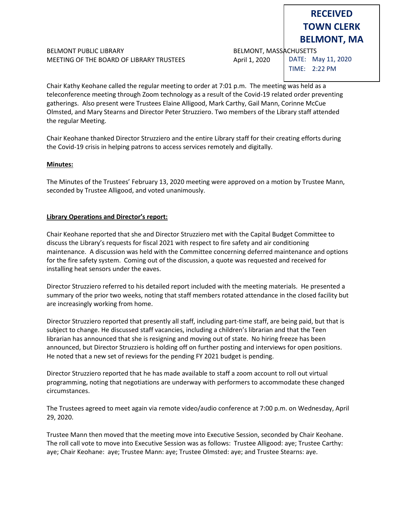## BELMONT PUBLIC LIBRARY **BELMONT, MASSACHUSETTS** MEETING OF THE BOARD OF LIBRARY TRUSTEES April 1, 2020

DATE: May 11, 2020 TIME: 2:22 PM

**RECEIVED TOWN CLERK BELMONT, MA**

Chair Kathy Keohane called the regular meeting to order at 7:01 p.m. The meeting was held as a teleconference meeting through Zoom technology as a result of the Covid-19 related order preventing gatherings. Also present were Trustees Elaine Alligood, Mark Carthy, Gail Mann, Corinne McCue Olmsted, and Mary Stearns and Director Peter Struzziero. Two members of the Library staff attended the regular Meeting.

Chair Keohane thanked Director Struzziero and the entire Library staff for their creating efforts during the Covid-19 crisis in helping patrons to access services remotely and digitally.

## **Minutes:**

The Minutes of the Trustees' February 13, 2020 meeting were approved on a motion by Trustee Mann, seconded by Trustee Alligood, and voted unanimously.

## **Library Operations and Director's report:**

Chair Keohane reported that she and Director Struzziero met with the Capital Budget Committee to discuss the Library's requests for fiscal 2021 with respect to fire safety and air conditioning maintenance. A discussion was held with the Committee concerning deferred maintenance and options for the fire safety system. Coming out of the discussion, a quote was requested and received for installing heat sensors under the eaves.

Director Struzziero referred to his detailed report included with the meeting materials. He presented a summary of the prior two weeks, noting that staff members rotated attendance in the closed facility but are increasingly working from home.

Director Struzziero reported that presently all staff, including part-time staff, are being paid, but that is subject to change. He discussed staff vacancies, including a children's librarian and that the Teen librarian has announced that she is resigning and moving out of state. No hiring freeze has been announced, but Director Struzziero is holding off on further posting and interviews for open positions. He noted that a new set of reviews for the pending FY 2021 budget is pending.

Director Struzziero reported that he has made available to staff a zoom account to roll out virtual programming, noting that negotiations are underway with performers to accommodate these changed circumstances.

The Trustees agreed to meet again via remote video/audio conference at 7:00 p.m. on Wednesday, April 29, 2020.

Trustee Mann then moved that the meeting move into Executive Session, seconded by Chair Keohane. The roll call vote to move into Executive Session was as follows: Trustee Alligood: aye; Trustee Carthy: aye; Chair Keohane: aye; Trustee Mann: aye; Trustee Olmsted: aye; and Trustee Stearns: aye.